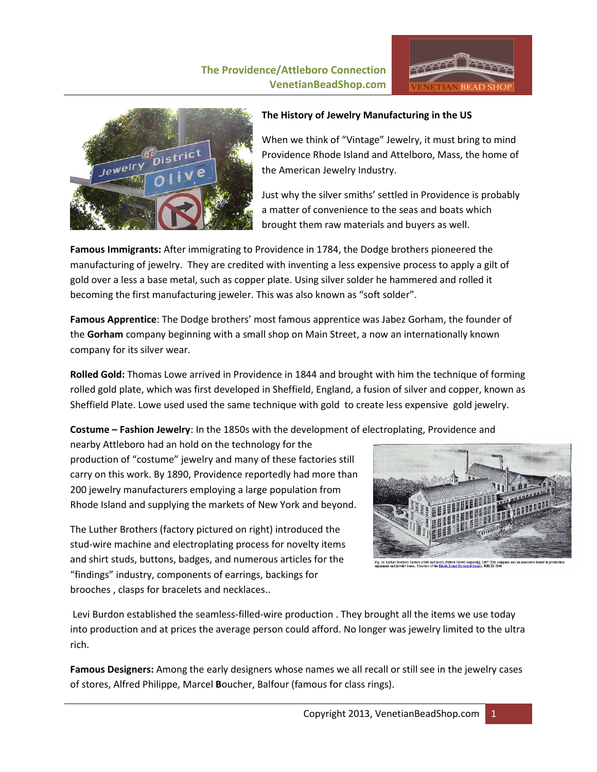# **The Providence/Attleboro Connection VenetianBeadShop.com**





## **The History of Jewelry Manufacturing in the US**

When we think of "Vintage" Jewelry, it must bring to mind Providence Rhode Island and Attelboro, Mass, the home of the American Jewelry Industry.

Just why the silver smiths' settled in Providence is probably a matter of convenience to the seas and boats which brought them raw materials and buyers as well.

**Famous Immigrants:** After immigrating to Providence in 1784, the Dodge brothers pioneered the manufacturing of jewelry. They are credited with inventing a less expensive process to apply a gilt of gold over a less a base metal, such as copper plate. Using silver solder he hammered and rolled it becoming the first manufacturing jeweler. This was also known as "soft solder".

**Famous Apprentice**: The Dodge brothers' most famous apprentice was Jabez Gorham, the founder of the **Gorham** company beginning with a small shop on Main Street, a now an internationally known company for its silver wear.

**Rolled Gold:** Thomas Lowe arrived in Providence in 1844 and brought with him the technique of forming rolled gold plate, which was first developed in Sheffield, England, a fusion of silver and copper, known as Sheffield Plate. Lowe used used the same technique with gold to create less expensive gold jewelry.

**Costume – Fashion Jewelry**: In the 1850s with the development of electroplating, Providence and

nearby Attleboro had an hold on the technology for the production of "costume" jewelry and many of these factories still carry on this work. By 1890, Providence reportedly had more than 200 jewelry manufacturers employing a large population from Rhode Island and supplying the markets of New York and beyond.

The Luther Brothers (factory pictured on right) introduced the stud-wire machine and electroplating process for novelty items and shirt studs, buttons, badges, and numerous articles for the "findings" industry, components of earrings, backings for brooches , clasps for bracelets and necklaces..



Levi Burdon established the seamless-filled-wire production . They brought all the items we use today into production and at prices the average person could afford. No longer was jewelry limited to the ultra rich.

**Famous Designers:** Among the early designers whose names we all recall or still see in the jewelry cases of stores, Alfred Philippe, Marcel **B**oucher, Balfour (famous for class rings).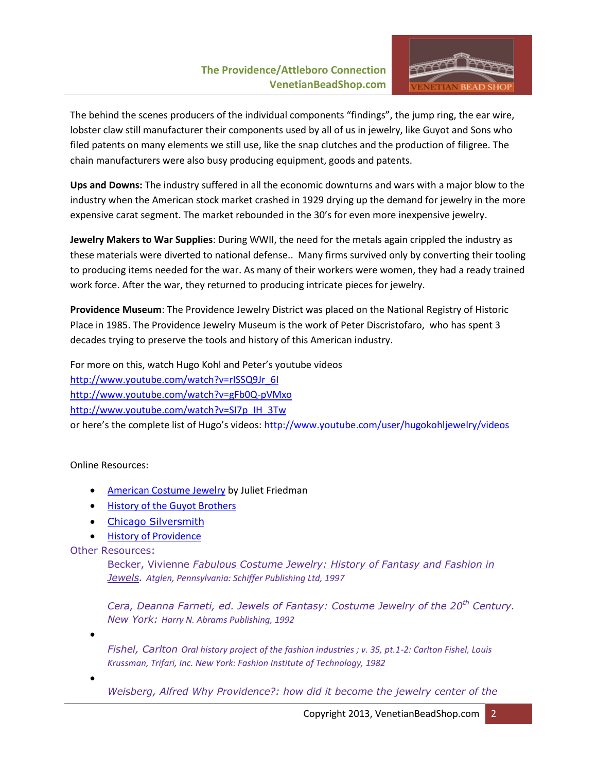## **The Providence/Attleboro Connection VenetianBeadShop.com**



The behind the scenes producers of the individual components "findings", the jump ring, the ear wire, lobster claw still manufacturer their components used by all of us in jewelry, like Guyot and Sons who filed patents on many elements we still use, like the snap clutches and the production of filigree. The chain manufacturers were also busy producing equipment, goods and patents.

**Ups and Downs:** The industry suffered in all the economic downturns and wars with a major blow to the industry when the American stock market crashed in 1929 drying up the demand for jewelry in the more expensive carat segment. The market rebounded in the 30's for even more inexpensive jewelry.

**Jewelry Makers to War Supplies**: During WWII, the need for the metals again crippled the industry as these materials were diverted to national defense.. Many firms survived only by converting their tooling to producing items needed for the war. As many of their workers were women, they had a ready trained work force. After the war, they returned to producing intricate pieces for jewelry.

**Providence Museum**: The Providence Jewelry District was placed on the National Registry of Historic Place in 1985. The Providence Jewelry Museum is the work of Peter Discristofaro, who has spent 3 decades trying to preserve the tools and history of this American industry.

For more on this, watch Hugo Kohl and Peter's youtube videos [http://www.youtube.com/watch?v=rISSQ9Jr\\_6I](http://www.youtube.com/watch?v=rISSQ9Jr_6I) <http://www.youtube.com/watch?v=gFb0Q-pVMxo> [http://www.youtube.com/watch?v=SI7p\\_IH\\_3Tw](http://www.youtube.com/watch?v=SI7p_IH_3Tw) or here's the complete list of Hugo's videos: <http://www.youtube.com/user/hugokohljewelry/videos>

## Online Resources:

- [American Costume Jewelry](http://www.guyotbrothers.com/jewelry-history/american-costume-jewelry.htm) by Juliet Friedman
- **[History of the Guyot Brothers](http://www.guyotbrothers.com/aboutus.htm)**
- [Chicago Silversmith](http://www.chicagosilver.com/industrial.htm)
- **[History of Providence](http://www.littlerhodyslist.com/Prov-Ind-4-19-1.pdf)**

## Other Resources:

Becker, Vivienne *Fabulous Costume Jewelry: History of Fantasy and Fashion in Jewels. Atglen, Pennsylvania: Schiffer Publishing Ltd, 1997*

*Cera, Deanna Farneti, ed. Jewels of Fantasy: Costume Jewelry of the 20th Century. New York: Harry N. Abrams Publishing, 1992* 

 $\bullet$ 

*Fishel, Carlton Oral history project of the fashion industries ; v. 35, pt.1-2: Carlton Fishel, Louis Krussman, Trifari, Inc. New York: Fashion Institute of Technology, 1982* 

 $\bullet$ 

*Weisberg, Alfred Why Providence?: how did it become the jewelry center of the*